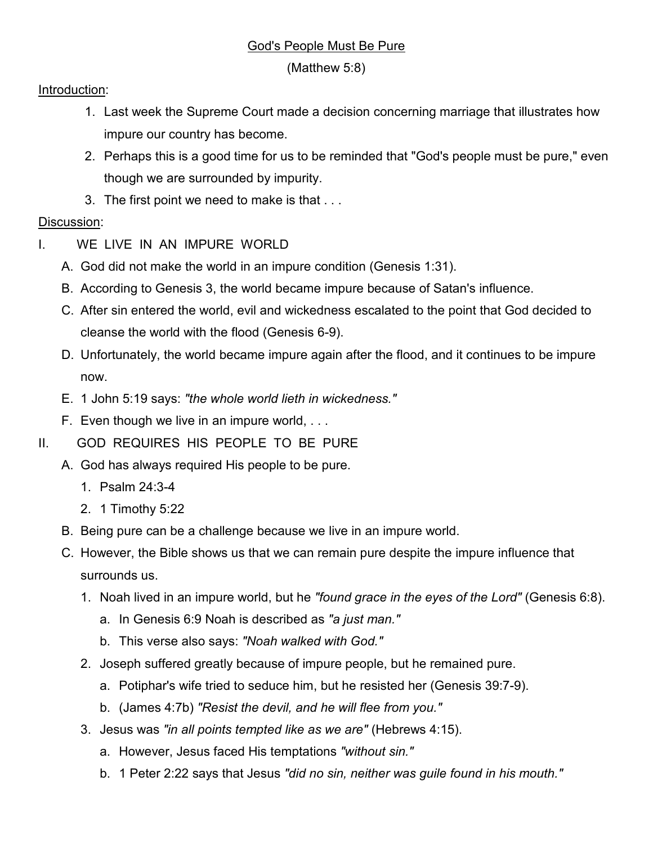## God's People Must Be Pure

(Matthew 5:8)

## Introduction:

- 1. Last week the Supreme Court made a decision concerning marriage that illustrates how impure our country has become.
- 2. Perhaps this is a good time for us to be reminded that "God's people must be pure," even though we are surrounded by impurity.
- 3. The first point we need to make is that . . .

## Discussion:

- I. WE LIVE IN AN IMPURE WORLD
	- A. God did not make the world in an impure condition (Genesis 1:31).
	- B. According to Genesis 3, the world became impure because of Satan's influence.
	- C. After sin entered the world, evil and wickedness escalated to the point that God decided to cleanse the world with the flood (Genesis 6-9).
	- D. Unfortunately, the world became impure again after the flood, and it continues to be impure now.
	- E. 1 John 5:19 says: *"the whole world lieth in wickedness."*
	- F. Even though we live in an impure world, . . .
- II. GOD REQUIRES HIS PEOPLE TO BE PURE
	- A. God has always required His people to be pure.
		- 1. Psalm 24:3-4
		- 2. 1 Timothy 5:22
	- B. Being pure can be a challenge because we live in an impure world.
	- C. However, the Bible shows us that we can remain pure despite the impure influence that surrounds us.
		- 1. Noah lived in an impure world, but he *"found grace in the eyes of the Lord"* (Genesis 6:8).
			- a. In Genesis 6:9 Noah is described as *"a just man."*
			- b. This verse also says: *"Noah walked with God."*
		- 2. Joseph suffered greatly because of impure people, but he remained pure.
			- a. Potiphar's wife tried to seduce him, but he resisted her (Genesis 39:7-9).
			- b. (James 4:7b) *"Resist the devil, and he will flee from you."*
		- 3. Jesus was *"in all points tempted like as we are"* (Hebrews 4:15).
			- a. However, Jesus faced His temptations *"without sin."*
			- b. 1 Peter 2:22 says that Jesus *"did no sin, neither was guile found in his mouth."*